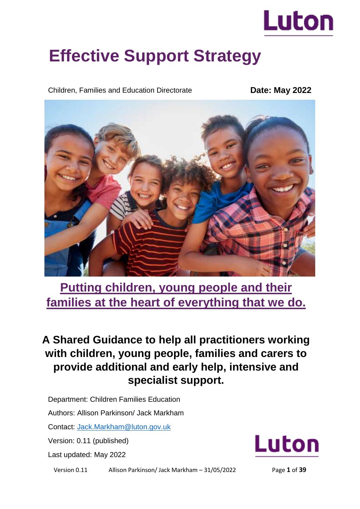

# **Effective Support Strategy**

Children, Families and Education Directorate

**Date: May 2022**



**Putting children, young people and their families at the heart of everything that we do.** 

# **A Shared Guidance to help all practitioners working with children, young people, families and carers to provide additional and early help, intensive and specialist support.**

Department: Children Families Education

Authors: Allison Parkinson/ Jack Markham

Contact: [Jack.Markham@luton.gov.uk](mailto:Jack.Markham@luton.gov.uk)

Version: 0.11 (published)

Last updated: May 2022



Version 0.11 Allison Parkinson/ Jack Markham – 31/05/2022 Page **1** of **39**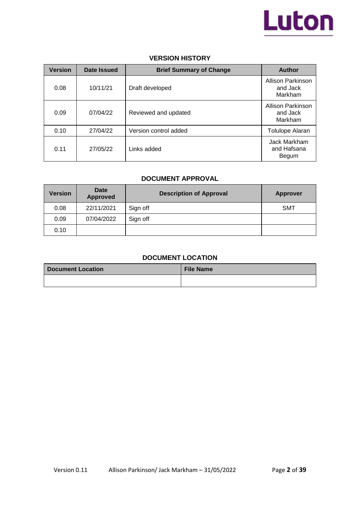

### **VERSION HISTORY**

| <b>Version</b> | Date Issued | <b>Brief Summary of Change</b> | <b>Author</b>                                   |
|----------------|-------------|--------------------------------|-------------------------------------------------|
| 0.08           | 10/11/21    | Draft developed                | Allison Parkinson<br>and Jack<br>Markham        |
| 0.09           | 07/04/22    | Reviewed and updated           | <b>Allison Parkinson</b><br>and Jack<br>Markham |
| 0.10           | 27/04/22    | Version control added          | <b>Tolulope Alaran</b>                          |
| 0.11           | 27/05/22    | Links added                    | Jack Markham<br>and Hafsana<br>Begum            |

### **DOCUMENT APPROVAL**

| <b>Version</b> | <b>Date</b><br><b>Approved</b> | <b>Description of Approval</b> | <b>Approver</b> |
|----------------|--------------------------------|--------------------------------|-----------------|
| 0.08           | 22/11/2021                     | Sign off                       | <b>SMT</b>      |
| 0.09           | 07/04/2022                     | Sign off                       |                 |
| 0.10           |                                |                                |                 |

### **DOCUMENT LOCATION**

| <b>Document Location</b> | <b>File Name</b> |
|--------------------------|------------------|
|                          |                  |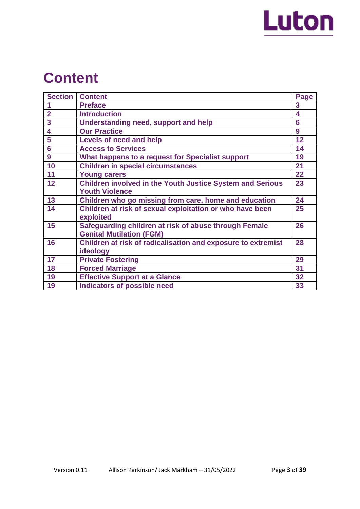

# **Content**

| <b>Section</b> | <b>Content</b>                                                   | Page |
|----------------|------------------------------------------------------------------|------|
|                | <b>Preface</b>                                                   | 3    |
| $\overline{2}$ | <b>Introduction</b>                                              | 4    |
| 3              | <b>Understanding need, support and help</b>                      | 6    |
| 4              | <b>Our Practice</b>                                              | 9    |
| 5              | Levels of need and help                                          | 12   |
| 6              | <b>Access to Services</b>                                        | 14   |
| 9              | What happens to a request for Specialist support                 | 19   |
| 10             | <b>Children in special circumstances</b>                         | 21   |
| 11             | <b>Young carers</b>                                              | 22   |
| 12             | <b>Children involved in the Youth Justice System and Serious</b> | 23   |
|                | <b>Youth Violence</b>                                            |      |
| 13             | Children who go missing from care, home and education            | 24   |
| 14             | Children at risk of sexual exploitation or who have been         | 25   |
|                | exploited                                                        |      |
| 15             | Safeguarding children at risk of abuse through Female            | 26   |
|                | <b>Genital Mutilation (FGM)</b>                                  |      |
| 16             | Children at risk of radicalisation and exposure to extremist     | 28   |
|                | ideology                                                         |      |
| 17             | <b>Private Fostering</b>                                         | 29   |
| 18             | <b>Forced Marriage</b>                                           | 31   |
| 19             | <b>Effective Support at a Glance</b>                             | 32   |
| 19             | <b>Indicators of possible need</b>                               | 33   |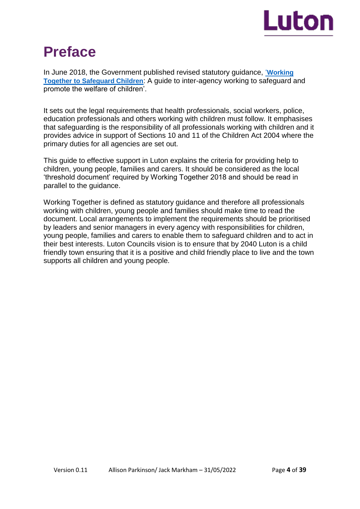

# **Preface**

In June 2018, the Government published revised statutory guidance, '**[Working](http://www.workingtogetheronline.co.uk/)  [Together to Safeguard Children](http://www.workingtogetheronline.co.uk/)**: A guide to inter-agency working to safeguard and promote the welfare of children'.

It sets out the legal requirements that health professionals, social workers, police, education professionals and others working with children must follow. It emphasises that safeguarding is the responsibility of all professionals working with children and it provides advice in support of Sections 10 and 11 of the Children Act 2004 where the primary duties for all agencies are set out.

This guide to effective support in Luton explains the criteria for providing help to children, young people, families and carers. It should be considered as the local 'threshold document' required by Working Together 2018 and should be read in parallel to the guidance.

Working Together is defined as statutory guidance and therefore all professionals working with children, young people and families should make time to read the document. Local arrangements to implement the requirements should be prioritised by leaders and senior managers in every agency with responsibilities for children, young people, families and carers to enable them to safeguard children and to act in their best interests. Luton Councils vision is to ensure that by 2040 Luton is a child friendly town ensuring that it is a positive and child friendly place to live and the town supports all children and young people.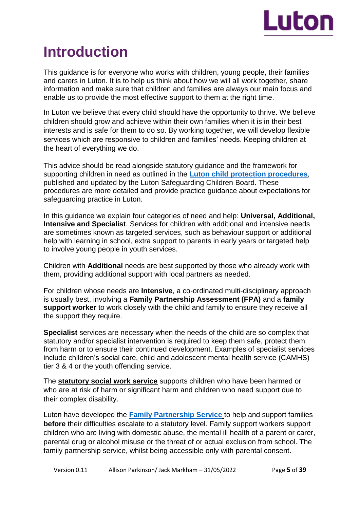

# **Introduction**

This guidance is for everyone who works with children, young people, their families and carers in Luton. It is to help us think about how we will all work together, share information and make sure that children and families are always our main focus and enable us to provide the most effective support to them at the right time.

In Luton we believe that every child should have the opportunity to thrive. We believe children should grow and achieve within their own families when it is in their best interests and is safe for them to do so. By working together, we will develop flexible services which are responsive to children and families' needs. Keeping children at the heart of everything we do.

This advice should be read alongside statutory guidance and the framework for supporting children in need as outlined in the **[Luton child protection procedures](https://bedfordscb.proceduresonline.com/p_bedford_cp_conf.html?zoom_highlight=Luton+child+protection+procedures)**, published and updated by the Luton Safeguarding Children Board. These procedures are more detailed and provide practice guidance about expectations for safeguarding practice in Luton.

In this guidance we explain four categories of need and help: **Universal, Additional, Intensive and Specialist**. Services for children with additional and intensive needs are sometimes known as targeted services, such as behaviour support or additional help with learning in school, extra support to parents in early years or targeted help to involve young people in youth services.

Children with **Additional** needs are best supported by those who already work with them, providing additional support with local partners as needed.

For children whose needs are **Intensive**, a co-ordinated multi-disciplinary approach is usually best, involving a **Family Partnership Assessment (FPA)** and a **family support worker** to work closely with the child and family to ensure they receive all the support they require.

**Specialist** services are necessary when the needs of the child are so complex that statutory and/or specialist intervention is required to keep them safe, protect them from harm or to ensure their continued development. Examples of specialist services include children's social care, child and adolescent mental health service (CAMHS) tier 3 & 4 or the youth offending service.

The **statutory social work service** supports children who have been harmed or who are at risk of harm or significant harm and children who need support due to their complex disability.

Luton have developed the **[Family Partnership Service](https://m.luton.gov.uk/Page/Show/Health_and_social_care/children_and_family_services/Pages/luton-family-partnership-service.aspx)** to help and support families **before** their difficulties escalate to a statutory level. Family support workers support children who are living with domestic abuse, the mental ill health of a parent or carer, parental drug or alcohol misuse or the threat of or actual exclusion from school. The family partnership service, whilst being accessible only with parental consent.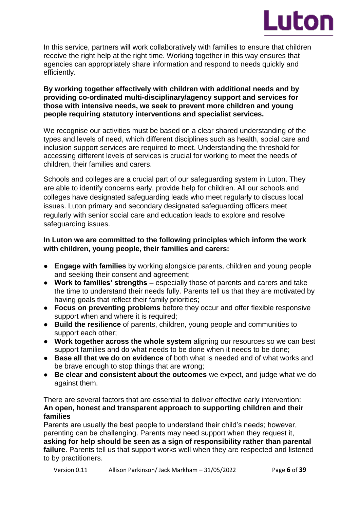

In this service, partners will work collaboratively with families to ensure that children receive the right help at the right time. Working together in this way ensures that agencies can appropriately share information and respond to needs quickly and efficiently.

### **By working together effectively with children with additional needs and by providing co-ordinated multi-disciplinary/agency support and services for those with intensive needs, we seek to prevent more children and young people requiring statutory interventions and specialist services.**

We recognise our activities must be based on a clear shared understanding of the types and levels of need, which different disciplines such as health, social care and inclusion support services are required to meet. Understanding the threshold for accessing different levels of services is crucial for working to meet the needs of children, their families and carers.

Schools and colleges are a crucial part of our safeguarding system in Luton. They are able to identify concerns early, provide help for children. All our schools and colleges have designated safeguarding leads who meet regularly to discuss local issues. Luton primary and secondary designated safeguarding officers meet regularly with senior social care and education leads to explore and resolve safeguarding issues.

## **In Luton we are committed to the following principles which inform the work with children, young people, their families and carers:**

- **Engage with families** by working alongside parents, children and young people and seeking their consent and agreement;
- **Work to families' strengths –** especially those of parents and carers and take the time to understand their needs fully. Parents tell us that they are motivated by having goals that reflect their family priorities;
- **Focus on preventing problems** before they occur and offer flexible responsive support when and where it is required;
- **Build the resilience** of parents, children, young people and communities to support each other;
- **Work together across the whole system** aligning our resources so we can best support families and do what needs to be done when it needs to be done;
- **Base all that we do on evidence** of both what is needed and of what works and be brave enough to stop things that are wrong;
- **Be clear and consistent about the outcomes** we expect, and judge what we do against them.

There are several factors that are essential to deliver effective early intervention: **An open, honest and transparent approach to supporting children and their families**

Parents are usually the best people to understand their child's needs; however, parenting can be challenging. Parents may need support when they request it, **asking for help should be seen as a sign of responsibility rather than parental failure**. Parents tell us that support works well when they are respected and listened to by practitioners.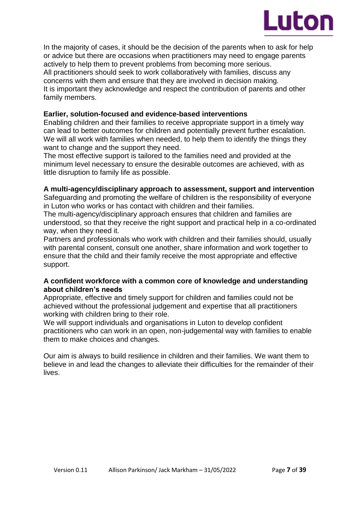

In the majority of cases, it should be the decision of the parents when to ask for help or advice but there are occasions when practitioners may need to engage parents actively to help them to prevent problems from becoming more serious. All practitioners should seek to work collaboratively with families, discuss any concerns with them and ensure that they are involved in decision making. It is important they acknowledge and respect the contribution of parents and other family members.

### **Earlier, solution-focused and evidence-based interventions**

Enabling children and their families to receive appropriate support in a timely way can lead to better outcomes for children and potentially prevent further escalation. We will all work with families when needed, to help them to identify the things they want to change and the support they need.

The most effective support is tailored to the families need and provided at the minimum level necessary to ensure the desirable outcomes are achieved, with as little disruption to family life as possible.

### **A multi-agency/disciplinary approach to assessment, support and intervention**

Safeguarding and promoting the welfare of children is the responsibility of everyone in Luton who works or has contact with children and their families.

The multi-agency/disciplinary approach ensures that children and families are understood, so that they receive the right support and practical help in a co-ordinated way, when they need it.

Partners and professionals who work with children and their families should, usually with parental consent, consult one another, share information and work together to ensure that the child and their family receive the most appropriate and effective support.

### **A confident workforce with a common core of knowledge and understanding about children's needs**

Appropriate, effective and timely support for children and families could not be achieved without the professional judgement and expertise that all practitioners working with children bring to their role.

We will support individuals and organisations in Luton to develop confident practitioners who can work in an open, non-judgemental way with families to enable them to make choices and changes.

Our aim is always to build resilience in children and their families. We want them to believe in and lead the changes to alleviate their difficulties for the remainder of their lives.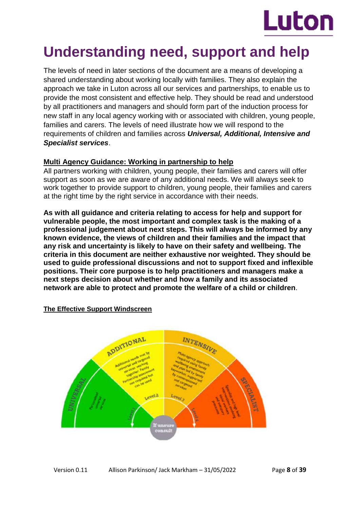

# **Understanding need, support and help**

The levels of need in later sections of the document are a means of developing a shared understanding about working locally with families. They also explain the approach we take in Luton across all our services and partnerships, to enable us to provide the most consistent and effective help. They should be read and understood by all practitioners and managers and should form part of the induction process for new staff in any local agency working with or associated with children, young people, families and carers. The levels of need illustrate how we will respond to the requirements of children and families across *Universal, Additional, Intensive and Specialist services*.

## **Multi Agency Guidance: Working in partnership to help**

All partners working with children, young people, their families and carers will offer support as soon as we are aware of any additional needs. We will always seek to work together to provide support to children, young people, their families and carers at the right time by the right service in accordance with their needs.

**As with all guidance and criteria relating to access for help and support for vulnerable people, the most important and complex task is the making of a professional judgement about next steps. This will always be informed by any known evidence, the views of children and their families and the impact that any risk and uncertainty is likely to have on their safety and wellbeing. The criteria in this document are neither exhaustive nor weighted. They should be used to guide professional discussions and not to support fixed and inflexible positions. Their core purpose is to help practitioners and managers make a next steps decision about whether and how a family and its associated network are able to protect and promote the welfare of a child or children**.

## **The Effective Support Windscreen**

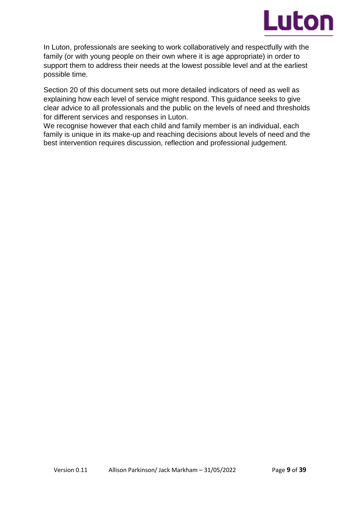

In Luton, professionals are seeking to work collaboratively and respectfully with the family (or with young people on their own where it is age appropriate) in order to support them to address their needs at the lowest possible level and at the earliest possible time.

Section 20 of this document sets out more detailed indicators of need as well as explaining how each level of service might respond. This guidance seeks to give clear advice to all professionals and the public on the levels of need and thresholds for different services and responses in Luton.

We recognise however that each child and family member is an individual, each family is unique in its make-up and reaching decisions about levels of need and the best intervention requires discussion, reflection and professional judgement.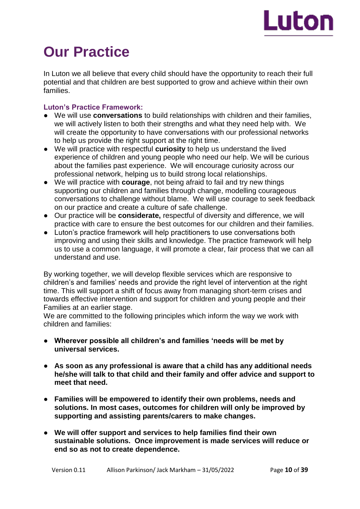

# **Our Practice**

In Luton we all believe that every child should have the opportunity to reach their full potential and that children are best supported to grow and achieve within their own families.

### **Luton's Practice Framework:**

- We will use **conversations** to build relationships with children and their families, we will actively listen to both their strengths and what they need help with. We will create the opportunity to have conversations with our professional networks to help us provide the right support at the right time.
- We will practice with respectful **curiosity** to help us understand the lived experience of children and young people who need our help. We will be curious about the families past experience. We will encourage curiosity across our professional network, helping us to build strong local relationships.
- We will practice with **courage**, not being afraid to fail and try new things supporting our children and families through change, modelling courageous conversations to challenge without blame. We will use courage to seek feedback on our practice and create a culture of safe challenge.
- Our practice will be **considerate,** respectful of diversity and difference, we will practice with care to ensure the best outcomes for our children and their families.
- Luton's practice framework will help practitioners to use conversations both improving and using their skills and knowledge. The practice framework will help us to use a common language, it will promote a clear, fair process that we can all understand and use.

By working together, we will develop flexible services which are responsive to children's and families' needs and provide the right level of intervention at the right time. This will support a shift of focus away from managing short-term crises and towards effective intervention and support for children and young people and their Families at an earlier stage.

We are committed to the following principles which inform the way we work with children and families:

- **Wherever possible all children's and families 'needs will be met by universal services.**
- **As soon as any professional is aware that a child has any additional needs he/she will talk to that child and their family and offer advice and support to meet that need.**
- **Families will be empowered to identify their own problems, needs and solutions. In most cases, outcomes for children will only be improved by supporting and assisting parents/carers to make changes.**
- **We will offer support and services to help families find their own sustainable solutions. Once improvement is made services will reduce or end so as not to create dependence.**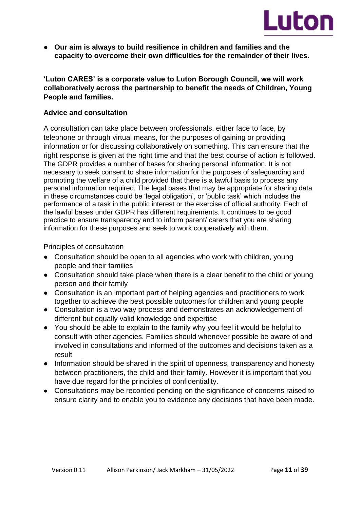

● **Our aim is always to build resilience in children and families and the capacity to overcome their own difficulties for the remainder of their lives.**

**'Luton CARES' is a corporate value to Luton Borough Council, we will work collaboratively across the partnership to benefit the needs of Children, Young People and families.** 

### **Advice and consultation**

A consultation can take place between professionals, either face to face, by telephone or through virtual means, for the purposes of gaining or providing information or for discussing collaboratively on something. This can ensure that the right response is given at the right time and that the best course of action is followed. The GDPR provides a number of bases for sharing personal information. It is not necessary to seek consent to share information for the purposes of safeguarding and promoting the welfare of a child provided that there is a lawful basis to process any personal information required. The legal bases that may be appropriate for sharing data in these circumstances could be 'legal obligation', or 'public task' which includes the performance of a task in the public interest or the exercise of official authority. Each of the lawful bases under GDPR has different requirements. It continues to be good practice to ensure transparency and to inform parent/ carers that you are sharing information for these purposes and seek to work cooperatively with them.

Principles of consultation

- Consultation should be open to all agencies who work with children, young people and their families
- Consultation should take place when there is a clear benefit to the child or young person and their family
- Consultation is an important part of helping agencies and practitioners to work together to achieve the best possible outcomes for children and young people
- Consultation is a two way process and demonstrates an acknowledgement of different but equally valid knowledge and expertise
- You should be able to explain to the family why you feel it would be helpful to consult with other agencies. Families should whenever possible be aware of and involved in consultations and informed of the outcomes and decisions taken as a result
- Information should be shared in the spirit of openness, transparency and honesty between practitioners, the child and their family. However it is important that you have due regard for the principles of confidentiality.
- Consultations may be recorded pending on the significance of concerns raised to ensure clarity and to enable you to evidence any decisions that have been made.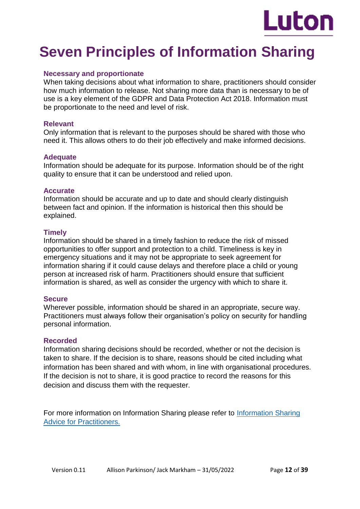

# **Seven Principles of Information Sharing**

### **Necessary and proportionate**

When taking decisions about what information to share, practitioners should consider how much information to release. Not sharing more data than is necessary to be of use is a key element of the GDPR and Data Protection Act 2018. Information must be proportionate to the need and level of risk.

### **Relevant**

Only information that is relevant to the purposes should be shared with those who need it. This allows others to do their job effectively and make informed decisions.

### **Adequate**

Information should be adequate for its purpose. Information should be of the right quality to ensure that it can be understood and relied upon.

### **Accurate**

Information should be accurate and up to date and should clearly distinguish between fact and opinion. If the information is historical then this should be explained.

### **Timely**

Information should be shared in a timely fashion to reduce the risk of missed opportunities to offer support and protection to a child. Timeliness is key in emergency situations and it may not be appropriate to seek agreement for information sharing if it could cause delays and therefore place a child or young person at increased risk of harm. Practitioners should ensure that sufficient information is shared, as well as consider the urgency with which to share it.

### **Secure**

Wherever possible, information should be shared in an appropriate, secure way. Practitioners must always follow their organisation's policy on security for handling personal information.

### **Recorded**

Information sharing decisions should be recorded, whether or not the decision is taken to share. If the decision is to share, reasons should be cited including what information has been shared and with whom, in line with organisational procedures. If the decision is not to share, it is good practice to record the reasons for this decision and discuss them with the requester.

For more information on Information Sharing please refer to [Information Sharing](https://www.gov.uk/government/publications/safeguarding-practitioners-information-sharing-advice)  [Advice for Practitioners.](https://www.gov.uk/government/publications/safeguarding-practitioners-information-sharing-advice)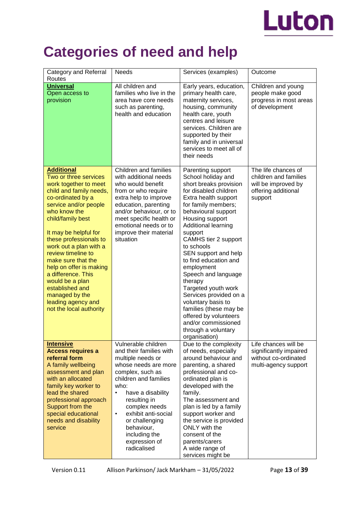

# **Categories of need and help**

| Category and Referral<br>Routes                                                                                                                                                                                                                                                                                                                                                                                                                                      | <b>Needs</b>                                                                                                                                                                                                                                                                                                                | Services (examples)                                                                                                                                                                                                                                                                                                                                                                                                                                                                                                                                   | Outcome                                                                                               |
|----------------------------------------------------------------------------------------------------------------------------------------------------------------------------------------------------------------------------------------------------------------------------------------------------------------------------------------------------------------------------------------------------------------------------------------------------------------------|-----------------------------------------------------------------------------------------------------------------------------------------------------------------------------------------------------------------------------------------------------------------------------------------------------------------------------|-------------------------------------------------------------------------------------------------------------------------------------------------------------------------------------------------------------------------------------------------------------------------------------------------------------------------------------------------------------------------------------------------------------------------------------------------------------------------------------------------------------------------------------------------------|-------------------------------------------------------------------------------------------------------|
| <b>Universal</b><br>Open access to<br>provision                                                                                                                                                                                                                                                                                                                                                                                                                      | All children and<br>families who live in the<br>area have core needs<br>such as parenting,<br>health and education                                                                                                                                                                                                          | Early years, education,<br>primary health care,<br>maternity services,<br>housing, community<br>health care, youth<br>centres and leisure<br>services. Children are<br>supported by their<br>family and in universal<br>services to meet all of<br>their needs                                                                                                                                                                                                                                                                                        | Children and young<br>people make good<br>progress in most areas<br>of development                    |
| <b>Additional</b><br>Two or three services<br>work together to meet<br>child and family needs,<br>co-ordinated by a<br>service and/or people<br>who know the<br>child/family best<br>It may be helpful for<br>these professionals to<br>work out a plan with a<br>review timeline to<br>make sure that the<br>help on offer is making<br>a difference. This<br>would be a plan<br>established and<br>managed by the<br>leading agency and<br>not the local authority | Children and families<br>with additional needs<br>who would benefit<br>from or who require<br>extra help to improve<br>education, parenting<br>and/or behaviour, or to<br>meet specific health or<br>emotional needs or to<br>improve their material<br>situation                                                           | Parenting support<br>School holiday and<br>short breaks provision<br>for disabled children<br>Extra health support<br>for family members;<br>behavioural support<br>Housing support<br>Additional learning<br>support<br>CAMHS tier 2 support<br>to schools<br>SEN support and help<br>to find education and<br>employment<br>Speech and language<br>therapy<br>Targeted youth work<br>Services provided on a<br>voluntary basis to<br>families (these may be<br>offered by volunteers<br>and/or commissioned<br>through a voluntary<br>organisation) | The life chances of<br>children and families<br>will be improved by<br>offering additional<br>support |
| <b>Intensive</b><br><b>Access requires a</b><br>referral form<br>A family wellbeing<br>assessment and plan<br>with an allocated<br>family key worker to<br>lead the shared<br>professional approach<br>Support from the<br>special educational<br>needs and disability<br>service                                                                                                                                                                                    | Vulnerable children<br>and their families with<br>multiple needs or<br>whose needs are more<br>complex, such as<br>children and families<br>who:<br>have a disability<br>resulting in<br>complex needs<br>exhibit anti-social<br>$\bullet$<br>or challenging<br>behaviour,<br>including the<br>expression of<br>radicalised | Due to the complexity<br>of needs, especially<br>around behaviour and<br>parenting, a shared<br>professional and co-<br>ordinated plan is<br>developed with the<br>family.<br>The assessment and<br>plan is led by a family<br>support worker and<br>the service is provided<br>ONLY with the<br>consent of the<br>parents/carers<br>A wide range of<br>services might be                                                                                                                                                                             | Life chances will be<br>significantly impaired<br>without co-ordinated<br>multi-agency support        |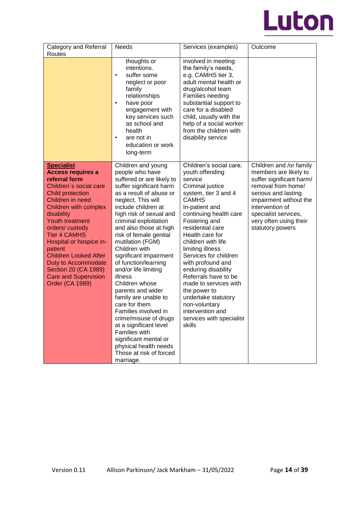

| Category and Referral<br>Routes                                                                                                                                                                                                                                                                                                                                                                                          | <b>Needs</b>                                                                                                                                                                                                                                                                                                                                                                                                                                                                                                                                                                                                                                                                         | Services (examples)                                                                                                                                                                                                                                                                                                                                                                                                                                                                                     | Outcome                                                                                                                                                                                                                                      |
|--------------------------------------------------------------------------------------------------------------------------------------------------------------------------------------------------------------------------------------------------------------------------------------------------------------------------------------------------------------------------------------------------------------------------|--------------------------------------------------------------------------------------------------------------------------------------------------------------------------------------------------------------------------------------------------------------------------------------------------------------------------------------------------------------------------------------------------------------------------------------------------------------------------------------------------------------------------------------------------------------------------------------------------------------------------------------------------------------------------------------|---------------------------------------------------------------------------------------------------------------------------------------------------------------------------------------------------------------------------------------------------------------------------------------------------------------------------------------------------------------------------------------------------------------------------------------------------------------------------------------------------------|----------------------------------------------------------------------------------------------------------------------------------------------------------------------------------------------------------------------------------------------|
|                                                                                                                                                                                                                                                                                                                                                                                                                          | thoughts or<br>intentions.<br>suffer some<br>$\bullet$<br>neglect or poor<br>family<br>relationships<br>have poor<br>$\bullet$<br>engagement with<br>key services such<br>as school and<br>health<br>are not in<br>$\bullet$<br>education or work<br>long-term                                                                                                                                                                                                                                                                                                                                                                                                                       | involved in meeting<br>the family's needs,<br>e.g. CAMHS tier 3,<br>adult mental health or<br>drug/alcohol team<br>Families needing<br>substantial support to<br>care for a disabled<br>child, usually with the<br>help of a social worker<br>from the children with<br>disability service                                                                                                                                                                                                              |                                                                                                                                                                                                                                              |
| <b>Specialist</b><br><b>Access requires a</b><br>referral form<br>Children's social care<br>Child protection<br>Children in need<br>Children with complex<br>disability<br><b>Youth treatment</b><br>orders/custody<br><b>Tier 4 CAMHS</b><br>Hospital or hospice in-<br>patient<br><b>Children Looked After</b><br>Duty to Accommodate<br>Section 20 (CA 1989)<br><b>Care and Supervision</b><br><b>Order (CA 1989)</b> | Children and young<br>people who have<br>suffered or are likely to<br>suffer significant harm<br>as a result of abuse or<br>neglect. This will<br>include children at<br>high risk of sexual and<br>criminal exploitation<br>and also those at high<br>risk of female genital<br>mutilation (FGM)<br>Children with<br>significant impairment<br>of function/learning<br>and/or life limiting<br>illness<br>Children whose<br>parents and wider<br>family are unable to<br>care for them<br>Families involved in<br>crime/misuse of drugs<br>at a significant level<br><b>Families with</b><br>significant mental or<br>physical health needs<br>Those at risk of forced<br>marriage. | Children's social care,<br>youth offending<br>service<br>Criminal justice<br>system, tier 3 and 4<br><b>CAMHS</b><br>In-patient and<br>continuing health care<br>Fostering and<br>residential care<br>Health care for<br>children with life<br>limiting illness<br>Services for children<br>with profound and<br>enduring disability<br>Referrals have to be<br>made to services with<br>the power to<br>undertake statutory<br>non-voluntary<br>intervention and<br>services with specialist<br>skills | Children and /or family<br>members are likely to<br>suffer significant harm/<br>removal from home/<br>serious and lasting<br>impairment without the<br>intervention of<br>specialist services,<br>very often using their<br>statutory powers |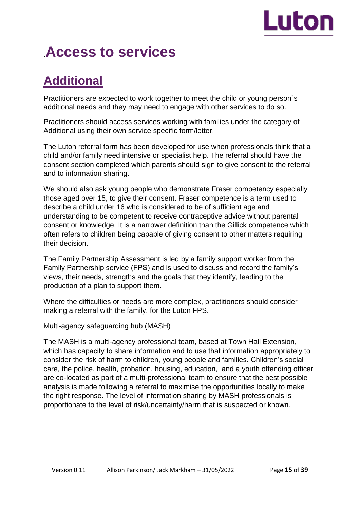# Luton

# .**Access to services**

# **Additional**

Practitioners are expected to work together to meet the child or young person`s additional needs and they may need to engage with other services to do so.

Practitioners should access services working with families under the category of Additional using their own service specific form/letter.

The Luton referral form has been developed for use when professionals think that a child and/or family need intensive or specialist help. The referral should have the consent section completed which parents should sign to give consent to the referral and to information sharing.

We should also ask young people who demonstrate Fraser competency especially those aged over 15, to give their consent. Fraser competence is a term used to describe a child under 16 who is considered to be of sufficient age and understanding to be competent to receive contraceptive advice without parental consent or knowledge. It is a narrower definition than the Gillick competence which often refers to children being capable of giving consent to other matters requiring their decision.

The Family Partnership Assessment is led by a family support worker from the Family Partnership service (FPS) and is used to discuss and record the family's views, their needs, strengths and the goals that they identify, leading to the production of a plan to support them.

Where the difficulties or needs are more complex, practitioners should consider making a referral with the family, for the Luton FPS.

Multi-agency safeguarding hub (MASH)

The MASH is a multi-agency professional team, based at Town Hall Extension, which has capacity to share information and to use that information appropriately to consider the risk of harm to children, young people and families. Children's social care, the police, health, probation, housing, education, and a youth offending officer are co-located as part of a multi-professional team to ensure that the best possible analysis is made following a referral to maximise the opportunities locally to make the right response. The level of information sharing by MASH professionals is proportionate to the level of risk/uncertainty/harm that is suspected or known.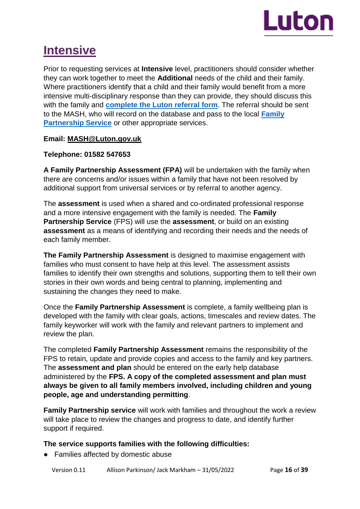

# **Intensive**

Prior to requesting services at **Intensive** level, practitioners should consider whether they can work together to meet the **Additional** needs of the child and their family. Where practitioners identify that a child and their family would benefit from a more intensive multi-disciplinary response than they can provide, they should discuss this with the family and **[complete the Luton referral form](https://m.luton.gov.uk/Page/Show/Health_and_social_care/safeguarding/safeguarding_children/Pages/default.aspx?redirectToMobile=True)**. The referral should be sent to the MASH, who will record on the database and pass to the local **[Family](https://m.luton.gov.uk/Page/Show/Health_and_social_care/children_and_family_services/Pages/luton-family-partnership-service.aspx)  [Partnership Service](https://m.luton.gov.uk/Page/Show/Health_and_social_care/children_and_family_services/Pages/luton-family-partnership-service.aspx)** or other appropriate services.

### **Email: MASH@Luton.gov.uk**

### **Telephone: 01582 547653**

**A Family Partnership Assessment (FPA)** will be undertaken with the family when there are concerns and/or issues within a family that have not been resolved by additional support from universal services or by referral to another agency.

The **assessment** is used when a shared and co-ordinated professional response and a more intensive engagement with the family is needed. The **Family Partnership Service** (FPS) will use the **assessment**, or build on an existing **assessment** as a means of identifying and recording their needs and the needs of each family member.

**The Family Partnership Assessment** is designed to maximise engagement with families who must consent to have help at this level. The assessment assists families to identify their own strengths and solutions, supporting them to tell their own stories in their own words and being central to planning, implementing and sustaining the changes they need to make.

Once the **Family Partnership Assessment** is complete, a family wellbeing plan is developed with the family with clear goals, actions, timescales and review dates. The family keyworker will work with the family and relevant partners to implement and review the plan.

The completed **Family Partnership Assessment** remains the responsibility of the FPS to retain, update and provide copies and access to the family and key partners. The **assessment and plan** should be entered on the early help database administered by the **FPS. A copy of the completed assessment and plan must always be given to all family members involved, including children and young people, age and understanding permitting**.

**Family Partnership service** will work with families and throughout the work a review will take place to review the changes and progress to date, and identify further support if required.

## **The service supports families with the following difficulties:**

● Families affected by domestic abuse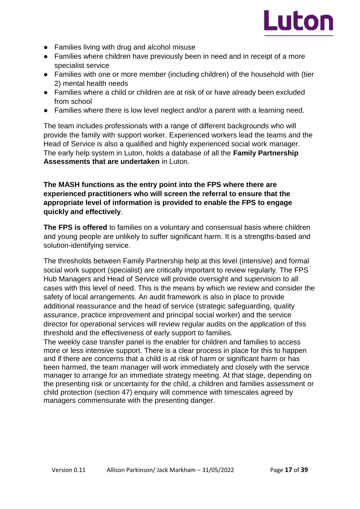

- Families living with drug and alcohol misuse
- Families where children have previously been in need and in receipt of a more specialist service
- Families with one or more member (including children) of the household with (tier 2) mental health needs
- Families where a child or children are at risk of or have already been excluded from school
- Families where there is low level neglect and/or a parent with a learning need.

The team includes professionals with a range of different backgrounds who will provide the family with support worker. Experienced workers lead the teams and the Head of Service is also a qualified and highly experienced social work manager. The early help system in Luton, holds a database of all the **Family Partnership Assessments that are undertaken** in Luton.

### **The MASH functions as the entry point into the FPS where there are experienced practitioners who will screen the referral to ensure that the appropriate level of information is provided to enable the FPS to engage quickly and effectively**.

**The FPS is offered** to families on a voluntary and consensual basis where children and young people are unlikely to suffer significant harm. It is a strengths-based and solution-identifying service.

The thresholds between Family Partnership help at this level (intensive) and formal social work support (specialist) are critically important to review regularly. The FPS Hub Managers and Head of Service will provide oversight and supervision to all cases with this level of need. This is the means by which we review and consider the safety of local arrangements. An audit framework is also in place to provide additional reassurance and the head of service (strategic safeguarding, quality assurance, practice improvement and principal social worker) and the service director for operational services will review regular audits on the application of this threshold and the effectiveness of early support to families.

The weekly case transfer panel is the enabler for children and families to access more or less intensive support. There is a clear process in place for this to happen and if there are concerns that a child is at risk of harm or significant harm or has been harmed, the team manager will work immediately and closely with the service manager to arrange for an immediate strategy meeting. At that stage, depending on the presenting risk or uncertainty for the child, a children and families assessment or child protection (section 47) enquiry will commence with timescales agreed by managers commensurate with the presenting danger.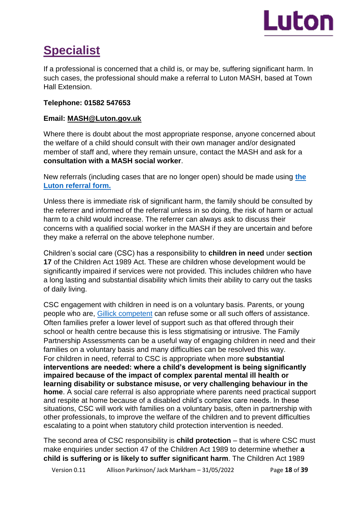

# **Specialist**

If a professional is concerned that a child is, or may be, suffering significant harm. In such cases, the professional should make a referral to Luton MASH, based at Town Hall Extension.

# **Telephone: 01582 547653**

# **Email: MASH@Luton.gov.uk**

Where there is doubt about the most appropriate response, anyone concerned about the welfare of a child should consult with their own manager and/or designated member of staff and, where they remain unsure, contact the MASH and ask for a **consultation with a MASH social worker**.

New referrals (including cases that are no longer open) should be made using **[the](https://m.luton.gov.uk/Page/Show/Health_and_social_care/safeguarding/safeguarding_children/Pages/default.aspx?redirectToMobile=True)  [Luton referral form.](https://m.luton.gov.uk/Page/Show/Health_and_social_care/safeguarding/safeguarding_children/Pages/default.aspx?redirectToMobile=True)**

Unless there is immediate risk of significant harm, the family should be consulted by the referrer and informed of the referral unless in so doing, the risk of harm or actual harm to a child would increase. The referrer can always ask to discuss their concerns with a qualified social worker in the MASH if they are uncertain and before they make a referral on the above telephone number.

Children's social care (CSC) has a responsibility to **children in need** under **section 17** of the Children Act 1989 Act. These are children whose development would be significantly impaired if services were not provided. This includes children who have a long lasting and substantial disability which limits their ability to carry out the tasks of daily living.

CSC engagement with children in need is on a voluntary basis. Parents, or young people who are, [Gillick competent](https://learning.nspcc.org.uk/child-protection-system/gillick-competence-fraser-guidelines) can refuse some or all such offers of assistance. Often families prefer a lower level of support such as that offered through their school or health centre because this is less stigmatising or intrusive. The Family Partnership Assessments can be a useful way of engaging children in need and their families on a voluntary basis and many difficulties can be resolved this way. For children in need, referral to CSC is appropriate when more **substantial interventions are needed: where a child's development is being significantly impaired because of the impact of complex parental mental ill health or learning disability or substance misuse, or very challenging behaviour in the home**. A social care referral is also appropriate where parents need practical support and respite at home because of a disabled child's complex care needs. In these situations, CSC will work with families on a voluntary basis, often in partnership with other professionals, to improve the welfare of the children and to prevent difficulties escalating to a point when statutory child protection intervention is needed.

The second area of CSC responsibility is **child protection** – that is where CSC must make enquiries under section 47 of the Children Act 1989 to determine whether **a child is suffering or is likely to suffer significant harm**. The Children Act 1989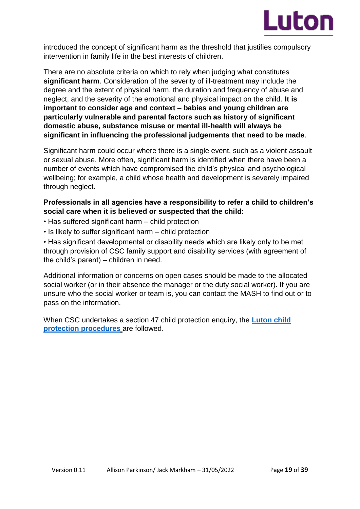

introduced the concept of significant harm as the threshold that justifies compulsory intervention in family life in the best interests of children.

There are no absolute criteria on which to rely when judging what constitutes **significant harm**. Consideration of the severity of ill-treatment may include the degree and the extent of physical harm, the duration and frequency of abuse and neglect, and the severity of the emotional and physical impact on the child. **It is important to consider age and context – babies and young children are particularly vulnerable and parental factors such as history of significant domestic abuse, substance misuse or mental ill-health will always be significant in influencing the professional judgements that need to be made**.

Significant harm could occur where there is a single event, such as a violent assault or sexual abuse. More often, significant harm is identified when there have been a number of events which have compromised the child's physical and psychological wellbeing; for example, a child whose health and development is severely impaired through neglect.

# **Professionals in all agencies have a responsibility to refer a child to children's social care when it is believed or suspected that the child:**

- Has suffered significant harm child protection
- Is likely to suffer significant harm child protection

• Has significant developmental or disability needs which are likely only to be met through provision of CSC family support and disability services (with agreement of the child's parent) – children in need.

Additional information or concerns on open cases should be made to the allocated social worker (or in their absence the manager or the duty social worker). If you are unsure who the social worker or team is, you can contact the MASH to find out or to pass on the information.

When CSC undertakes a section 47 child protection enquiry, the **[Luton child](https://bedfordscb.proceduresonline.com/p_bedford_cp_conf.html?zoom_highlight=Luton+child+protection+procedures)  [protection procedures](https://bedfordscb.proceduresonline.com/p_bedford_cp_conf.html?zoom_highlight=Luton+child+protection+procedures)** are followed.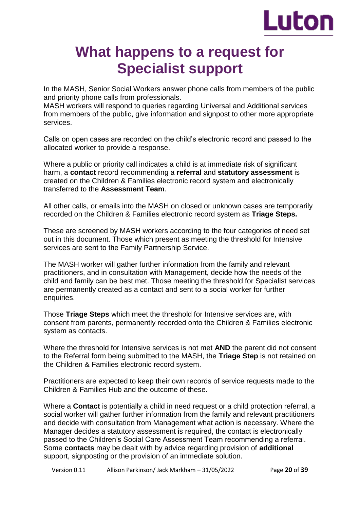

# **What happens to a request for Specialist support**

In the MASH, Senior Social Workers answer phone calls from members of the public and priority phone calls from professionals.

MASH workers will respond to queries regarding Universal and Additional services from members of the public, give information and signpost to other more appropriate services.

Calls on open cases are recorded on the child's electronic record and passed to the allocated worker to provide a response.

Where a public or priority call indicates a child is at immediate risk of significant harm, a **contact** record recommending a **referral** and **statutory assessment** is created on the Children & Families electronic record system and electronically transferred to the **Assessment Team**.

All other calls, or emails into the MASH on closed or unknown cases are temporarily recorded on the Children & Families electronic record system as **Triage Steps.** 

These are screened by MASH workers according to the four categories of need set out in this document. Those which present as meeting the threshold for Intensive services are sent to the Family Partnership Service.

The MASH worker will gather further information from the family and relevant practitioners, and in consultation with Management, decide how the needs of the child and family can be best met. Those meeting the threshold for Specialist services are permanently created as a contact and sent to a social worker for further enquiries.

Those **Triage Steps** which meet the threshold for Intensive services are, with consent from parents, permanently recorded onto the Children & Families electronic system as contacts.

Where the threshold for Intensive services is not met **AND** the parent did not consent to the Referral form being submitted to the MASH, the **Triage Step** is not retained on the Children & Families electronic record system.

Practitioners are expected to keep their own records of service requests made to the Children & Families Hub and the outcome of these.

Where a **Contact** is potentially a child in need request or a child protection referral, a social worker will gather further information from the family and relevant practitioners and decide with consultation from Management what action is necessary. Where the Manager decides a statutory assessment is required, the contact is electronically passed to the Children's Social Care Assessment Team recommending a referral. Some **contacts** may be dealt with by advice regarding provision of **additional**  support, signposting or the provision of an immediate solution.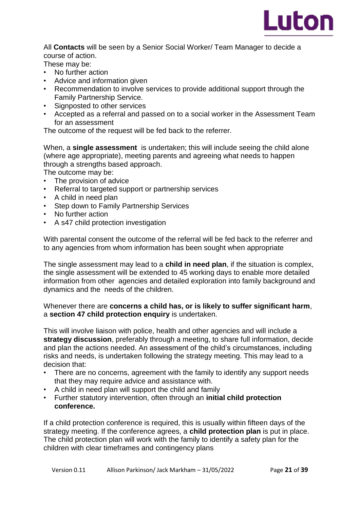

All **Contacts** will be seen by a Senior Social Worker/ Team Manager to decide a course of action.

These may be:

- No further action
- Advice and information given
- Recommendation to involve services to provide additional support through the Family Partnership Service.
- Signposted to other services
- Accepted as a referral and passed on to a social worker in the Assessment Team for an assessment

The outcome of the request will be fed back to the referrer.

When, a **single assessment** is undertaken; this will include seeing the child alone (where age appropriate), meeting parents and agreeing what needs to happen through a strengths based approach.

The outcome may be:

- The provision of advice
- Referral to targeted support or partnership services
- A child in need plan
- Step down to Family Partnership Services
- No further action
- A s47 child protection investigation

With parental consent the outcome of the referral will be fed back to the referrer and to any agencies from whom information has been sought when appropriate

The single assessment may lead to a **child in need plan**, if the situation is complex, the single assessment will be extended to 45 working days to enable more detailed information from other agencies and detailed exploration into family background and dynamics and the needs of the children.

### Whenever there are **concerns a child has, or is likely to suffer significant harm**, a **section 47 child protection enquiry** is undertaken.

This will involve liaison with police, health and other agencies and will include a **strategy discussion**, preferably through a meeting, to share full information, decide and plan the actions needed. An assessment of the child's circumstances, including risks and needs, is undertaken following the strategy meeting. This may lead to a decision that:

- There are no concerns, agreement with the family to identify any support needs that they may require advice and assistance with.
- A child in need plan will support the child and family
- Further statutory intervention, often through an **initial child protection conference.**

If a child protection conference is required, this is usually within fifteen days of the strategy meeting. If the conference agrees, a **child protection plan** is put in place. The child protection plan will work with the family to identify a safety plan for the children with clear timeframes and contingency plans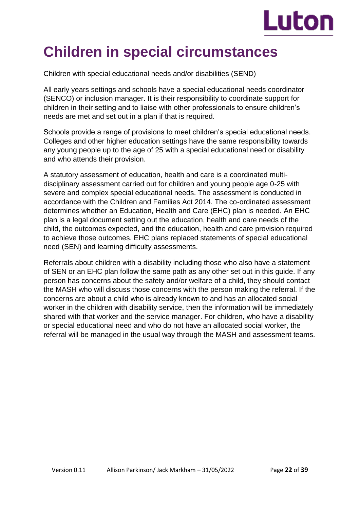

# **Children in special circumstances**

Children with special educational needs and/or disabilities (SEND)

All early years settings and schools have a special educational needs coordinator (SENCO) or inclusion manager. It is their responsibility to coordinate support for children in their setting and to liaise with other professionals to ensure children's needs are met and set out in a plan if that is required.

Schools provide a range of provisions to meet children's special educational needs. Colleges and other higher education settings have the same responsibility towards any young people up to the age of 25 with a special educational need or disability and who attends their provision.

A statutory assessment of education, health and care is a coordinated multidisciplinary assessment carried out for children and young people age 0-25 with severe and complex special educational needs. The assessment is conducted in accordance with the Children and Families Act 2014. The co-ordinated assessment determines whether an Education, Health and Care (EHC) plan is needed. An EHC plan is a legal document setting out the education, health and care needs of the child, the outcomes expected, and the education, health and care provision required to achieve those outcomes. EHC plans replaced statements of special educational need (SEN) and learning difficulty assessments.

Referrals about children with a disability including those who also have a statement of SEN or an EHC plan follow the same path as any other set out in this guide. If any person has concerns about the safety and/or welfare of a child, they should contact the MASH who will discuss those concerns with the person making the referral. If the concerns are about a child who is already known to and has an allocated social worker in the children with disability service, then the information will be immediately shared with that worker and the service manager. For children, who have a disability or special educational need and who do not have an allocated social worker, the referral will be managed in the usual way through the MASH and assessment teams.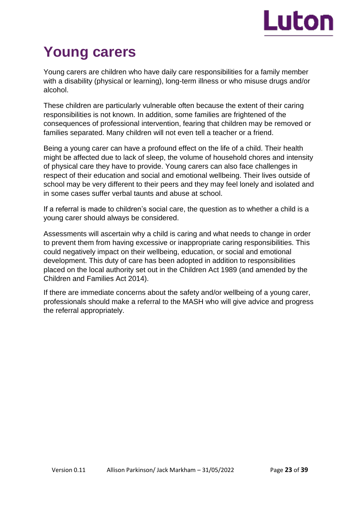

# **Young carers**

Young carers are children who have daily care responsibilities for a family member with a disability (physical or learning), long-term illness or who misuse drugs and/or alcohol.

These children are particularly vulnerable often because the extent of their caring responsibilities is not known. In addition, some families are frightened of the consequences of professional intervention, fearing that children may be removed or families separated. Many children will not even tell a teacher or a friend.

Being a young carer can have a profound effect on the life of a child. Their health might be affected due to lack of sleep, the volume of household chores and intensity of physical care they have to provide. Young carers can also face challenges in respect of their education and social and emotional wellbeing. Their lives outside of school may be very different to their peers and they may feel lonely and isolated and in some cases suffer verbal taunts and abuse at school.

If a referral is made to children's social care, the question as to whether a child is a young carer should always be considered.

Assessments will ascertain why a child is caring and what needs to change in order to prevent them from having excessive or inappropriate caring responsibilities. This could negatively impact on their wellbeing, education, or social and emotional development. This duty of care has been adopted in addition to responsibilities placed on the local authority set out in the Children Act 1989 (and amended by the Children and Families Act 2014).

If there are immediate concerns about the safety and/or wellbeing of a young carer, professionals should make a referral to the MASH who will give advice and progress the referral appropriately.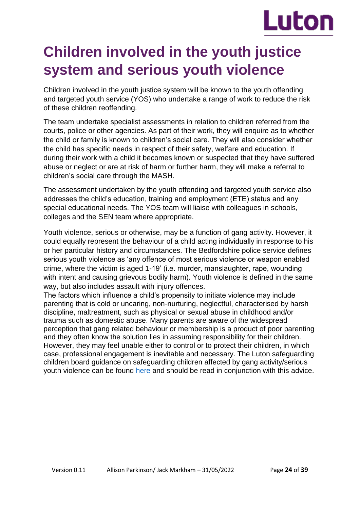# Luton

# **Children involved in the youth justice system and serious youth violence**

Children involved in the youth justice system will be known to the youth offending and targeted youth service (YOS) who undertake a range of work to reduce the risk of these children reoffending.

The team undertake specialist assessments in relation to children referred from the courts, police or other agencies. As part of their work, they will enquire as to whether the child or family is known to children's social care. They will also consider whether the child has specific needs in respect of their safety, welfare and education. If during their work with a child it becomes known or suspected that they have suffered abuse or neglect or are at risk of harm or further harm, they will make a referral to children's social care through the MASH.

The assessment undertaken by the youth offending and targeted youth service also addresses the child's education, training and employment (ETE) status and any special educational needs. The YOS team will liaise with colleagues in schools, colleges and the SEN team where appropriate.

Youth violence, serious or otherwise, may be a function of gang activity. However, it could equally represent the behaviour of a child acting individually in response to his or her particular history and circumstances. The Bedfordshire police service defines serious youth violence as 'any offence of most serious violence or weapon enabled crime, where the victim is aged 1-19' (i.e. murder, manslaughter, rape, wounding with intent and causing grievous bodily harm). Youth violence is defined in the same way, but also includes assault with injury offences.

The factors which influence a child's propensity to initiate violence may include parenting that is cold or uncaring, non-nurturing, neglectful, characterised by harsh discipline, maltreatment, such as physical or sexual abuse in childhood and/or trauma such as domestic abuse. Many parents are aware of the widespread perception that gang related behaviour or membership is a product of poor parenting and they often know the solution lies in assuming responsibility for their children. However, they may feel unable either to control or to protect their children, in which case, professional engagement is inevitable and necessary. The Luton safeguarding children board guidance on safeguarding children affected by gang activity/serious youth violence can be found [here](https://bedfordscb.proceduresonline.com/p_safeg_gang.html?zoom_highlight=youth+violence) and should be read in conjunction with this advice.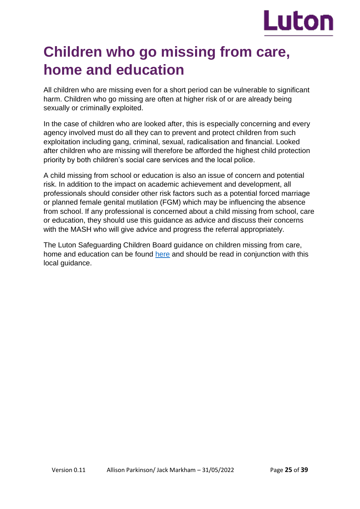

# **Children who go missing from care, home and education**

All children who are missing even for a short period can be vulnerable to significant harm. Children who go missing are often at higher risk of or are already being sexually or criminally exploited.

In the case of children who are looked after, this is especially concerning and every agency involved must do all they can to prevent and protect children from such exploitation including gang, criminal, sexual, radicalisation and financial. Looked after children who are missing will therefore be afforded the highest child protection priority by both children's social care services and the local police.

A child missing from school or education is also an issue of concern and potential risk. In addition to the impact on academic achievement and development, all professionals should consider other risk factors such as a potential forced marriage or planned female genital mutilation (FGM) which may be influencing the absence from school. If any professional is concerned about a child missing from school, care or education, they should use this guidance as advice and discuss their concerns with the MASH who will give advice and progress the referral appropriately.

The Luton Safeguarding Children Board guidance on children missing from care, home and education can be found [here](https://bedfordscb.proceduresonline.com/p_missing_home_care.html?zoom_highlight=missing) and should be read in conjunction with this local guidance.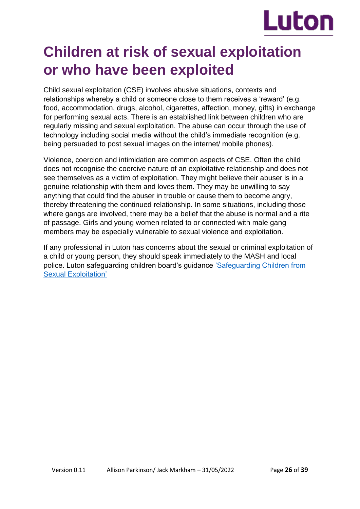

# **Children at risk of sexual exploitation or who have been exploited**

Child sexual exploitation (CSE) involves abusive situations, contexts and relationships whereby a child or someone close to them receives a 'reward' (e.g. food, accommodation, drugs, alcohol, cigarettes, affection, money, gifts) in exchange for performing sexual acts. There is an established link between children who are regularly missing and sexual exploitation. The abuse can occur through the use of technology including social media without the child's immediate recognition (e.g. being persuaded to post sexual images on the internet/ mobile phones).

Violence, coercion and intimidation are common aspects of CSE. Often the child does not recognise the coercive nature of an exploitative relationship and does not see themselves as a victim of exploitation. They might believe their abuser is in a genuine relationship with them and loves them. They may be unwilling to say anything that could find the abuser in trouble or cause them to become angry, thereby threatening the continued relationship. In some situations, including those where gangs are involved, there may be a belief that the abuse is normal and a rite of passage. Girls and young women related to or connected with male gang members may be especially vulnerable to sexual violence and exploitation.

If any professional in Luton has concerns about the sexual or criminal exploitation of a child or young person, they should speak immediately to the MASH and local police. Luton safeguarding children board's guidance ['Safeguarding Children from](https://lutonlscb.org.uk/parents/child-sexual-exploitation/)  [Sexual Exploitation'](https://lutonlscb.org.uk/parents/child-sexual-exploitation/)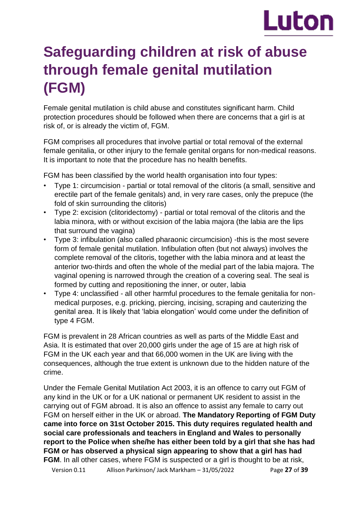# Luton

# **Safeguarding children at risk of abuse through female genital mutilation (FGM)**

Female genital mutilation is child abuse and constitutes significant harm. Child protection procedures should be followed when there are concerns that a girl is at risk of, or is already the victim of, FGM.

FGM comprises all procedures that involve partial or total removal of the external female genitalia, or other injury to the female genital organs for non-medical reasons. It is important to note that the procedure has no health benefits.

FGM has been classified by the world health organisation into four types:

- Type 1: circumcision partial or total removal of the clitoris (a small, sensitive and erectile part of the female genitals) and, in very rare cases, only the prepuce (the fold of skin surrounding the clitoris)
- Type 2: excision (clitoridectomy) partial or total removal of the clitoris and the labia minora, with or without excision of the labia majora (the labia are the lips that surround the vagina)
- Type 3: infibulation (also called pharaonic circumcision) -this is the most severe form of female genital mutilation. Infibulation often (but not always) involves the complete removal of the clitoris, together with the labia minora and at least the anterior two-thirds and often the whole of the medial part of the labia majora. The vaginal opening is narrowed through the creation of a covering seal. The seal is formed by cutting and repositioning the inner, or outer, labia
- Type 4: unclassified all other harmful procedures to the female genitalia for nonmedical purposes, e.g. pricking, piercing, incising, scraping and cauterizing the genital area. It is likely that 'labia elongation' would come under the definition of type 4 FGM.

FGM is prevalent in 28 African countries as well as parts of the Middle East and Asia. It is estimated that over 20,000 girls under the age of 15 are at high risk of FGM in the UK each year and that 66,000 women in the UK are living with the consequences, although the true extent is unknown due to the hidden nature of the crime.

Under the Female Genital Mutilation Act 2003, it is an offence to carry out FGM of any kind in the UK or for a UK national or permanent UK resident to assist in the carrying out of FGM abroad. It is also an offence to assist any female to carry out FGM on herself either in the UK or abroad. **The Mandatory Reporting of FGM Duty came into force on 31st October 2015. This duty requires regulated health and social care professionals and teachers in England and Wales to personally report to the Police when she/he has either been told by a girl that she has had FGM or has observed a physical sign appearing to show that a girl has had FGM**. In all other cases, where FGM is suspected or a girl is thought to be at risk,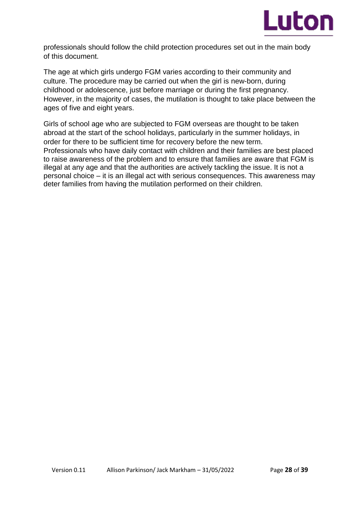

professionals should follow the child protection procedures set out in the main body of this document.

The age at which girls undergo FGM varies according to their community and culture. The procedure may be carried out when the girl is new-born, during childhood or adolescence, just before marriage or during the first pregnancy. However, in the majority of cases, the mutilation is thought to take place between the ages of five and eight years.

Girls of school age who are subjected to FGM overseas are thought to be taken abroad at the start of the school holidays, particularly in the summer holidays, in order for there to be sufficient time for recovery before the new term. Professionals who have daily contact with children and their families are best placed to raise awareness of the problem and to ensure that families are aware that FGM is illegal at any age and that the authorities are actively tackling the issue. It is not a personal choice – it is an illegal act with serious consequences. This awareness may deter families from having the mutilation performed on their children.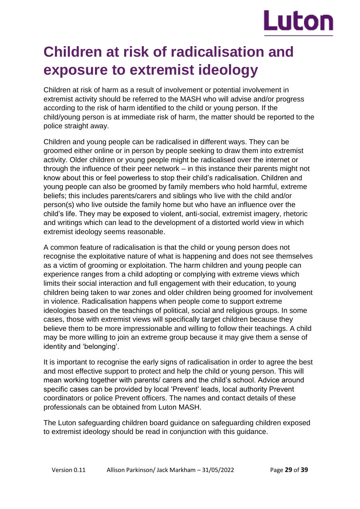

# **Children at risk of radicalisation and exposure to extremist ideology**

Children at risk of harm as a result of involvement or potential involvement in extremist activity should be referred to the MASH who will advise and/or progress according to the risk of harm identified to the child or young person. If the child/young person is at immediate risk of harm, the matter should be reported to the police straight away.

Children and young people can be radicalised in different ways. They can be groomed either online or in person by people seeking to draw them into extremist activity. Older children or young people might be radicalised over the internet or through the influence of their peer network – in this instance their parents might not know about this or feel powerless to stop their child's radicalisation. Children and young people can also be groomed by family members who hold harmful, extreme beliefs; this includes parents/carers and siblings who live with the child and/or person(s) who live outside the family home but who have an influence over the child's life. They may be exposed to violent, anti-social, extremist imagery, rhetoric and writings which can lead to the development of a distorted world view in which extremist ideology seems reasonable.

A common feature of radicalisation is that the child or young person does not recognise the exploitative nature of what is happening and does not see themselves as a victim of grooming or exploitation. The harm children and young people can experience ranges from a child adopting or complying with extreme views which limits their social interaction and full engagement with their education, to young children being taken to war zones and older children being groomed for involvement in violence. Radicalisation happens when people come to support extreme ideologies based on the teachings of political, social and religious groups. In some cases, those with extremist views will specifically target children because they believe them to be more impressionable and willing to follow their teachings. A child may be more willing to join an extreme group because it may give them a sense of identity and 'belonging'.

It is important to recognise the early signs of radicalisation in order to agree the best and most effective support to protect and help the child or young person. This will mean working together with parents/ carers and the child's school. Advice around specific cases can be provided by local 'Prevent' leads, local authority Prevent coordinators or police Prevent officers. The names and contact details of these professionals can be obtained from Luton MASH.

The Luton safeguarding children board guidance on safeguarding children exposed to extremist ideology should be read in conjunction with this guidance.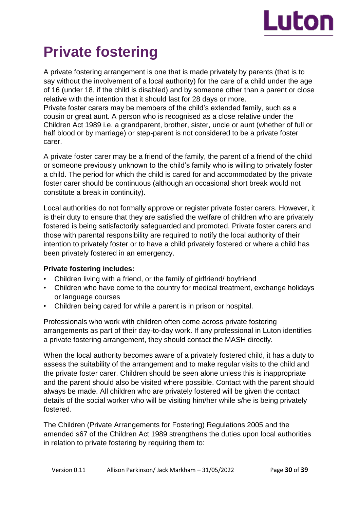

# **Private fostering**

A private fostering arrangement is one that is made privately by parents (that is to say without the involvement of a local authority) for the care of a child under the age of 16 (under 18, if the child is disabled) and by someone other than a parent or close relative with the intention that it should last for 28 days or more. Private foster carers may be members of the child's extended family, such as a cousin or great aunt. A person who is recognised as a close relative under the Children Act 1989 i.e. a grandparent, brother, sister, uncle or aunt (whether of full or half blood or by marriage) or step-parent is not considered to be a private foster carer.

A private foster carer may be a friend of the family, the parent of a friend of the child or someone previously unknown to the child's family who is willing to privately foster a child. The period for which the child is cared for and accommodated by the private foster carer should be continuous (although an occasional short break would not constitute a break in continuity).

Local authorities do not formally approve or register private foster carers. However, it is their duty to ensure that they are satisfied the welfare of children who are privately fostered is being satisfactorily safeguarded and promoted. Private foster carers and those with parental responsibility are required to notify the local authority of their intention to privately foster or to have a child privately fostered or where a child has been privately fostered in an emergency.

## **Private fostering includes:**

- Children living with a friend, or the family of girlfriend/ boyfriend
- Children who have come to the country for medical treatment, exchange holidays or language courses
- Children being cared for while a parent is in prison or hospital.

Professionals who work with children often come across private fostering arrangements as part of their day-to-day work. If any professional in Luton identifies a private fostering arrangement, they should contact the MASH directly.

When the local authority becomes aware of a privately fostered child, it has a duty to assess the suitability of the arrangement and to make regular visits to the child and the private foster carer. Children should be seen alone unless this is inappropriate and the parent should also be visited where possible. Contact with the parent should always be made. All children who are privately fostered will be given the contact details of the social worker who will be visiting him/her while s/he is being privately fostered.

The Children (Private Arrangements for Fostering) Regulations 2005 and the amended s67 of the Children Act 1989 strengthens the duties upon local authorities in relation to private fostering by requiring them to: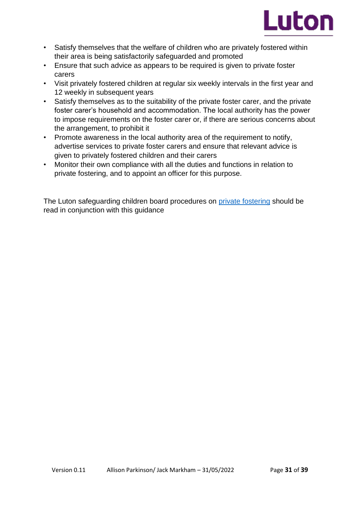

- Satisfy themselves that the welfare of children who are privately fostered within their area is being satisfactorily safeguarded and promoted
- Ensure that such advice as appears to be required is given to private foster carers
- Visit privately fostered children at regular six weekly intervals in the first year and 12 weekly in subsequent years
- Satisfy themselves as to the suitability of the private foster carer, and the private foster carer's household and accommodation. The local authority has the power to impose requirements on the foster carer or, if there are serious concerns about the arrangement, to prohibit it
- Promote awareness in the local authority area of the requirement to notify, advertise services to private foster carers and ensure that relevant advice is given to privately fostered children and their carers
- Monitor their own compliance with all the duties and functions in relation to private fostering, and to appoint an officer for this purpose.

The Luton safeguarding children board procedures on [private fostering](https://lutonlscb.org.uk/professionals/private-fostering/) should be read in conjunction with this guidance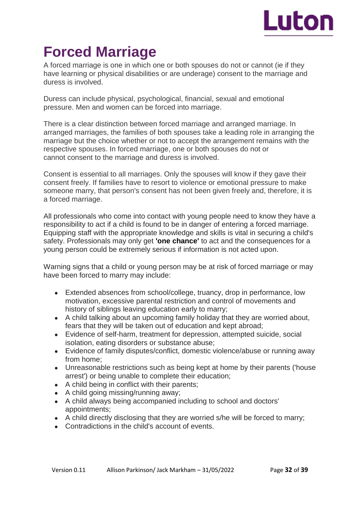

# **Forced Marriage**

A forced marriage is one in which one or both spouses do not or cannot (ie if they have learning or physical disabilities or are underage) consent to the marriage and duress is involved.

Duress can include physical, psychological, financial, sexual and emotional pressure. Men and women can be forced into marriage.

There is a clear distinction between forced marriage and arranged marriage. In arranged marriages, the families of both spouses take a leading role in arranging the marriage but the choice whether or not to accept the arrangement remains with the respective spouses. In forced marriage, one or both spouses do not or cannot consent to the marriage and duress is involved.

Consent is essential to all marriages. Only the spouses will know if they gave their consent freely. If families have to resort to violence or emotional pressure to make someone marry, that person's consent has not been given freely and, therefore, it is a forced marriage.

All professionals who come into contact with young people need to know they have a responsibility to act if a child is found to be in danger of entering a forced marriage. Equipping staff with the appropriate knowledge and skills is vital in securing a child's safety. Professionals may only get **'one chance'** to act and the consequences for a young person could be extremely serious if information is not acted upon.

Warning signs that a child or young person may be at risk of forced marriage or may have been forced to marry may include:

- Extended absences from school/college, truancy, drop in performance, low motivation, excessive parental restriction and control of movements and history of siblings leaving education early to marry;
- A child talking about an upcoming family holiday that they are worried about, fears that they will be taken out of education and kept abroad;
- Evidence of self-harm, treatment for depression, attempted suicide, social isolation, eating disorders or substance abuse;
- Evidence of family disputes/conflict, domestic violence/abuse or running away from home;
- Unreasonable restrictions such as being kept at home by their parents ('house arrest') or being unable to complete their education;
- A child being in conflict with their parents;
- $\bullet$  A child going missing/running away;
- A child always being accompanied including to school and doctors' appointments;
- A child directly disclosing that they are worried s/he will be forced to marry;
- Contradictions in the child's account of events.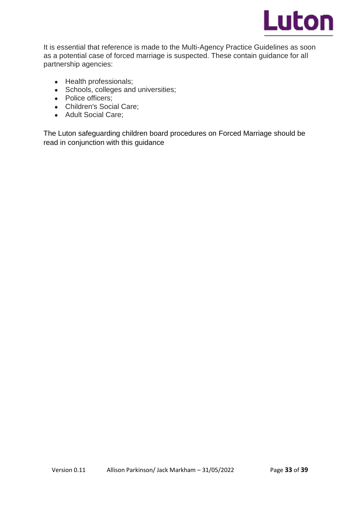

It is essential that reference is made to the Multi-Agency Practice Guidelines as soon as a potential case of forced marriage is suspected. These contain guidance for all partnership agencies:

- Health professionals;
- Schools, colleges and universities;
- Police officers;
- Children's Social Care:
- Adult Social Care;

The Luton safeguarding children board procedures on Forced Marriage should be read in conjunction with this guidance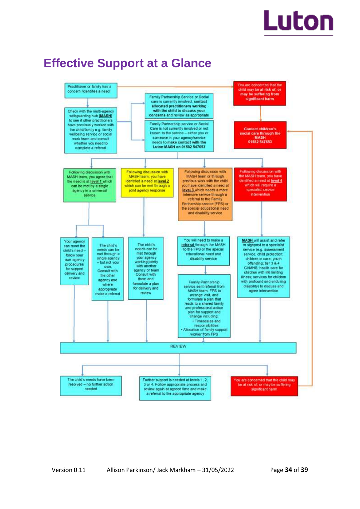# Luton

# **Effective Support at a Glance**

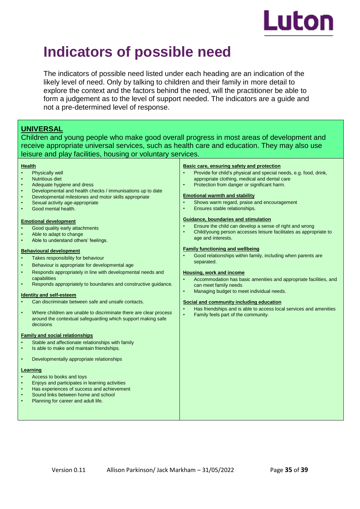

# **Indicators of possible need**

The indicators of possible need listed under each heading are an indication of the likely level of need. Only by talking to children and their family in more detail to explore the context and the factors behind the need, will the practitioner be able to form a judgement as to the level of support needed. The indicators are a guide and not a pre-determined level of response.

# **UNIVERSAL**

Children and young people who make good overall progress in most areas of development and receive appropriate universal services, such as health care and education. They may also use leisure and play facilities, housing or voluntary services.

#### **Health**

- Physically well
- Nutritious diet
- Adequate hygiene and dress
- Developmental and health checks / immunisations up to date
- Developmental milestones and motor skills appropriate
- Sexual activity age-appropriate
- Good mental health.

#### **Emotional development**

- Good quality early attachments
- Able to adapt to change
- Able to understand others' feelings.

#### **Behavioural development**

- Takes responsibility for behaviour
- Behaviour is appropriate for developmental age
- Responds appropriately in line with developmental needs and capabilities
- Responds appropriately to boundaries and constructive guidance.

#### **Identity and self-esteem**

- Can discriminate between safe and unsafe contacts.
- Where children are unable to discriminate there are clear process around the contextual safeguarding which support making safe decisions

#### **Family and social relationships**

- Stable and affectionate relationships with family
- Is able to make and maintain friendships.
- Developmentally appropriate relationships

#### **Learning**

- Access to books and toys
- Enjoys and participates in learning activities
- Has experiences of success and achievement
- Sound links between home and school Planning for career and adult life.

#### **Basic care, ensuring safety and protection**

- Provide for child's physical and special needs, e.g. food, drink, appropriate clothing, medical and dental care
- Protection from danger or significant harm.

#### **Emotional warmth and stability**

- Shows warm regard, praise and encouragement
- Ensures stable relationships.

#### **Guidance, boundaries and stimulation**

- Ensure the child can develop a sense of right and wrong
- Child/young person accesses leisure facilitates as appropriate to age and interests.

#### **Family functioning and wellbeing**

• Good relationships within family, including when parents are separated.

#### **Housing, work and income**

- Accommodation has basic amenities and appropriate facilities, and can meet family needs
- Managing budget to meet individual needs.

#### **Social and community including education**

- Has friendships and is able to access local services and amenities
- Family feels part of the community.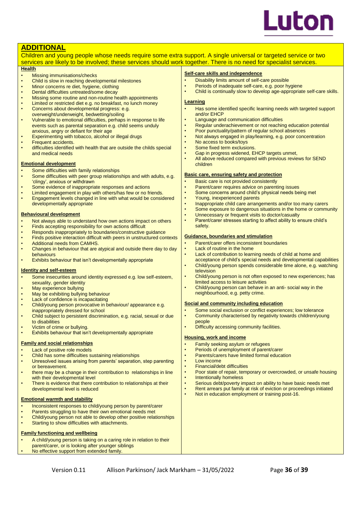

### **ADDITIONAL**

Children and young people whose needs require some extra support. A single universal or targeted service or two services are likely to be involved; these services should work together. There is no need for specialist services.

#### **Health**

- **Missing immunisations/checks**
- Child is slow in reaching developmental milestones
- Minor concerns re diet, hygiene, clothing
- Dental difficulties untreated/some decay
- Missing some routine and non-routine health appointments
- Limited or restricted diet e.g. no breakfast, no lunch money Concerns about developmental progress: e.g.
- overweight/underweight, bedwetting/soiling
- Vulnerable to emotional difficulties, perhaps in response to life events such as parental separation e.g. child seems unduly anxious, angry or defiant for their age
- Experimenting with tobacco, alcohol or illegal drugs
- **Frequent accidents.**
- difficulties identified with health that are outside the childs special and medical needs

#### **Emotional development**

- Some difficulties with family relationships
- Some difficulties with peer group relationships and with adults, e.g. 'clingy', anxious or withdrawn
- Some evidence of inappropriate responses and actions
- Limited engagement in play with others/has few or no friends.
- Engagement levels changed in line with what would be considered developmentally appropriate

#### **Behavioural development**

- Not always able to understand how own actions impact on others
- Finds accepting responsibility for own actions difficult
- Responds inappropriately to boundaries/constructive guidance
- Finds positive interaction difficult with peers in unstructured contexts • Additional needs from CAMHS.
- Changes in behaviour that are atypical and outside there day to day behaviours
- Exhibits behaviour that isn't developmentally appropriate

#### **Identity and self-esteem**

- Some insecurities around identity expressed e.g. low self-esteem, sexuality, gender identity
- May experience bullying
- May be exhibiting bullying behaviour
- Lack of confidence is incapacitating
- Child/young person provocative in behaviour/ appearance e.g. inappropriately dressed for school
- Child subject to persistent discrimination, e.g. racial, sexual or due to disabilities
- Victim of crime or bullying.
- Exhibits behaviour that isn't developmentally appropriate

#### **Family and social relationships**

- Lack of positive role models
- Child has some difficulties sustaining relationships
- Unresolved issues arising from parents' separation, step parenting or bereavement.
- there may be a change in their contribution to relationships in line with their developmental level
- There is evidence that there contribution to relationships at their developmental level is reduced

#### **Emotional warmth and stability**

- Inconsistent responses to child/young person by parent/carer
- Parents struggling to have their own emotional needs met
- Child/young person not able to develop other positive relationships
- Starting to show difficulties with attachments.

#### **Family functioning and wellbeing**

- A child/young person is taking on a caring role in relation to their
- parent/carer, or is looking after younger siblings
- No effective support from extended family

#### **Self-care skills and independence**

- Disability limits amount of self-care possible
- Periods of inadequate self-care, e.g. poor hygiene
- Child is continually slow to develop age-appropriate self-care skills.

#### **Learning**

- Has some identified specific learning needs with targeted support and/or EHCP
- Language and communication difficulties
- Regular underachievement or not reaching education potential
- Poor punctuality/pattern of regular school absences
- Not always engaged in play/learning, e.g. poor concentration
- No access to books/toys
- Some fixed term exclusions.
- Gap in progress widened, EHCP targets unmet,
- All above reduced compared with previous reviews for SEND children

#### **Basic care, ensuring safety and protection**

- Basic care is not provided consistently
- Parent/carer requires advice on parenting issues
	- Some concerns around child's physical needs being met
- Young, inexperienced parents
- Inappropriate child care arrangements and/or too many carers
- Some exposure to dangerous situations in the home or community
- Unnecessary or frequent visits to doctor/casualty
- Parent/carer stresses starting to affect ability to ensure child's safety.

#### **Guidance, boundaries and stimulation**

- Parent/carer offers inconsistent boundaries
- **Lack of routine in the home**
- Lack of contribution to learning needs of child at home and
- acceptance of child's special needs and developmental capabilities • Child/young person spends considerable time alone, e.g. watching
- television • Child/young person is not often exposed to new experiences; has
- limited access to leisure activities • Child/young person can behave in an anti- social way in the neighbourhood, e.g. petty crime.

#### **Social and community including education**

- Some social exclusion or conflict experiences; low tolerance
- Community characterised by negativity towards children/young people
- Difficulty accessing community facilities.

#### **Housing, work and income**

- Family seeking asylum or refugees
- Periods of unemployment of parent/carer
- Parents/carers have limited formal education
- Low income
- Financial/debt difficulties
- Poor state of repair, temporary or overcrowded, or unsafe housing
- Intentionally homeless
- Serious debt/poverty impact on ability to have basic needs met Rent arrears put family at risk of eviction or proceedings initiated
- Not in education employment or training post-16.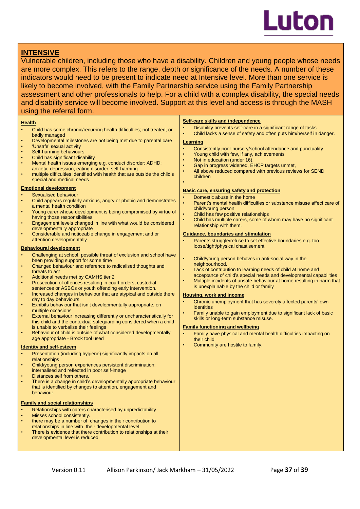

## **INTENSIVE**

Vulnerable children, including those who have a disability. Children and young people whose needs are more complex. This refers to the range, depth or significance of the needs. A number of these indicators would need to be present to indicate need at Intensive level. More than one service is likely to become involved, with the Family Partnership service using the Family Partnership assessment and other professionals to help. For a child with a complex disability, the special needs and disability service will become involved. Support at this level and access is through the MASH using the referral form.

#### **Health**

- Child has some chronic/recurring health difficulties; not treated, or badly managed
- Developmental milestones are not being met due to parental care
- 'Unsafe' sexual activity
- Self-harming behaviours
- Child has significant disability
- Mental health issues emerging e.g. conduct disorder; ADHD; anxiety; depression; eating disorder; self-harming.
- multiple difficulties identified with health that are outside the child's special and medical needs

#### **Emotional development**

- Sexualised behaviour
- Child appears regularly anxious, angry or phobic and demonstrates a mental health condition
- Young carer whose development is being compromised by virtue of having those responsibilities.
- Engagement levels changed in line with what would be considered developmentally appropriate
- Considerable and noticeable change in engagement and or attention developmentally

#### **Behavioural development**

- Challenging at school, possible threat of exclusion and school have been providing support for some time
- Changed behaviour and reference to radicalised thoughts and threats to act
- Additional needs met by CAMHS tier 2
- Prosecution of offences resulting in court orders, custodial sentences or ASBOs or youth offending early intervention.
- Increased changes in behaviour that are atypical and outside there day to day behaviours
- Exhibits behaviour that isn't developmentally appropriate, on multiple occasions
- External behaviour increasing differently or uncharacteristically for this child and the contextual safeguarding considered when a child is unable to verbalise their feelings
- Behaviour of child is outside of what considered developmentally age appropriate - Brook tool used

#### **Identity and self-esteem**

- Presentation (including hygiene) significantly impacts on all relationships
- Child/young person experiences persistent discrimination; internalised and reflected in poor self-image
- Distances self from others.
- There is a change in child's developmentally appropriate behaviour that is identified by changes to attention, engagement and behaviour.

#### **Family and social relationships**

- Relationships with carers characterised by unpredictability
- Misses school consistently.
- there may be a number of changes in their contribution to
- relationships in line with their developmental level
- There is evidence that there contribution to relationships at their developmental level is reduced

#### **Self-care skills and independence**

- Disability prevents self-care in a significant range of tasks
- Child lacks a sense of safety and often puts him/herself in danger.

#### **Learning**

- Consistently poor nursery/school attendance and punctuality
- Young child with few, if any, achievements
- Not in education (under 16).
- Gap in progress widened, EHCP targets unmet,
- All above reduced compared with previous reviews for SEND children

### •

- **Basic care, ensuring safety and protection**
- Domestic abuse in the home
- Parent's mental health difficulties or substance misuse affect care of child/young person
- Child has few positive relationships
- Child has multiple carers, some of whom may have no significant relationship with them.

#### **Guidance, boundaries and stimulation**

- Parents struggle/refuse to set effective boundaries e.g. too loose/tight/physical chastisement
- Child/young person behaves in anti-social way in the neighbourhood.
- Lack of contribution to learning needs of child at home and acceptance of child's special needs and developmental capabilities
- Multiple incidents of unsafe behaviour at home resulting in harm that is unexplainable by the child or family

#### **Housing, work and income**

- Chronic unemployment that has severely affected parents' own identities
- Family unable to gain employment due to significant lack of basic skills or long-term substance misuse.

#### **Family functioning and wellbeing**

- Family have physical and mental health difficulties impacting on their child
- Community are hostile to family.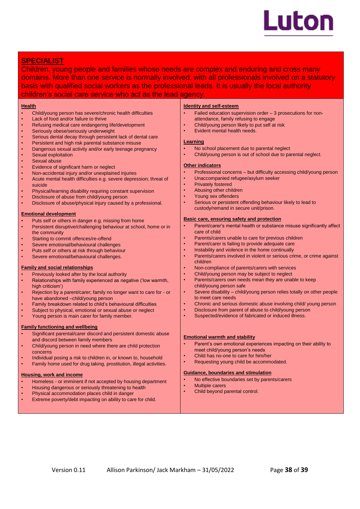

# **SPECIALIST**

Children, young people and families whose needs are complex and enduring and cross many domains. More than one service is normally involved, with all professionals involved on a statutory basis with qualified social workers as the professional leads. It is usually the local authority children's social care service who act as the lead agency.

#### **Health**

- Child/young person has severe/chronic health difficulties
- Lack of food and/or failure to thrive
- Refusing medical care endangering life/development
- Seriously obese/seriously underweight
- Serious dental decay through persistent lack of dental care
- Persistent and high risk parental substance misuse
- Dangerous sexual activity and/or early teenage pregnancy
- Sexual exploitation
- Sexual abuse
- Evidence of significant harm or neglect
- Non-accidental injury and/or unexplained injuries
- Acute mental health difficulties e.g. severe depression; threat of suicide
- Physical/learning disability requiring constant supervision
- Disclosure of abuse from child/young person
- Disclosure of abuse/physical injury caused by a professional.

#### **Emotional development**

- Puts self or others in danger e.g. missing from home
- Persistent disruptive/challenging behaviour at school, home or in the community
- Starting to commit offences/re-offend
- Severe emotional/behavioural challenges
- Puts self or others at risk through behaviour
- Severe emotional/behavioural challenges.

#### **Family and social relationships**

- Previously looked after by the local authority
- Relationships with family experienced as negative ('low warmth, high criticism')
- Rejection by a parent/carer; family no longer want to care for or have abandoned –child/young person
- Family breakdown related to child's behavioural difficulties
- Subject to physical, emotional or sexual abuse or neglect
- Young person is main carer for family member.

#### **Family functioning and wellbeing**

- Significant parental/carer discord and persistent domestic abuse and discord between family members
- Child/young person in need where there are child protection concerns
- Individual posing a risk to children in, or known to, household
- Family home used for drug taking, prostitution, illegal activities.

#### **Housing, work and income**

- Homeless or imminent if not accepted by housing department
- Housing dangerous or seriously threatening to health
- Physical accommodation places child in danger
- Extreme poverty/debt impacting on ability to care for child.

#### **Identity and self-esteem**

- Failed education supervision order 3 prosecutions for nonattendance, family refusing to engage
- Child/young person likely to put self at risk
- Evident mental health needs.

#### **Learning**

- No school placement due to parental neglect
- Child/young person is out of school due to parental neglect.

#### **Other indicators**

- Professional concerns but difficulty accessing child/young person
- Unaccompanied refugee/asylum seeker
- Privately fostered
- Abusing other children
- Young sex offenders
- Serious or persistent offending behaviour likely to lead to custody/remand in secure unit/prison.

#### **Basic care, ensuring safety and protection**

- Parent/carer's mental health or substance misuse significantly affect care of child
- Parents/carers unable to care for previous children
- Parent/carer is failing to provide adequate care
- Instability and violence in the home continually
- Parents/carers involved in violent or serious crime, or crime against children
- Non-compliance of parents/carers with services
- Child/young person may be subject to neglect
- Parents/carers own needs mean they are unable to keep child/young person safe
- Severe disability child/young person relies totally on other people to meet care needs
- Chronic and serious domestic abuse involving child/ young person
- Disclosure from parent of abuse to child/young person
- Suspected/evidence of fabricated or induced illness.

#### **Emotional warmth and stability**

- Parent's own emotional experiences impacting on their ability to meet child/young person's needs
- Child has no-one to care for him/her
- Requesting young child be accommodated.

#### **Guidance, boundaries and stimulation**

- No effective boundaries set by parents/carers
- **Multiple carers**
- Child beyond parental control.